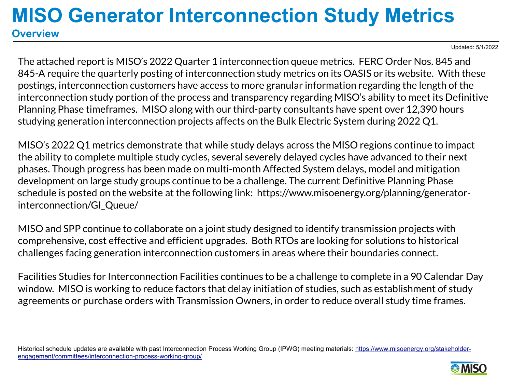Updated: 5/1/2022

The attached report is MISO's 2022 Quarter 1 interconnection queue metrics. FERC Order Nos. 845 and 845-A require the quarterly posting of interconnection study metrics on its OASIS or its website. With these postings, interconnection customers have access to more granular information regarding the length of the interconnection study portion of the process and transparency regarding MISO's ability to meet its Definitive Planning Phase timeframes. MISO along with our third-party consultants have spent over 12,390 hours studying generation interconnection projects affects on the Bulk Electric System during 2022 Q1.

MISO's 2022 Q1 metrics demonstrate that while study delays across the MISO regions continue to impact the ability to complete multiple study cycles, several severely delayed cycles have advanced to their next phases. Though progress has been made on multi-month Affected System delays, model and mitigation development on large study groups continue to be a challenge. The current Definitive Planning Phase schedule is posted on the website at the following link: https://www.misoenergy.org/planning/generatorinterconnection/GI\_Queue/

MISO and SPP continue to collaborate on a joint study designed to identify transmission projects with comprehensive, cost effective and efficient upgrades. Both RTOs are looking for solutions to historical challenges facing generation interconnection customers in areas where their boundaries connect.

Facilities Studies for Interconnection Facilities continues to be a challenge to complete in a 90 Calendar Day window. MISO is working to reduce factors that delay initiation of studies, such as establishment of study agreements or purchase orders with Transmission Owners, in order to reduce overall study time frames.

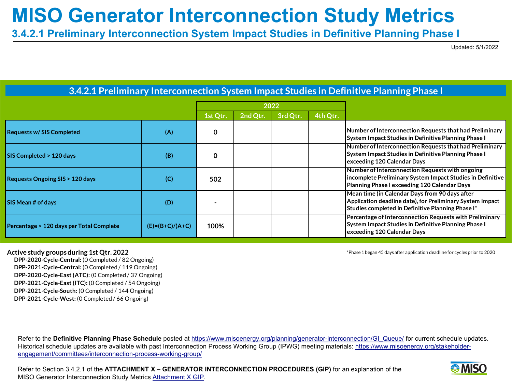**3.4.2.1 Preliminary Interconnection System Impact Studies in Definitive Planning Phase I**

Updated: 5/1/2022

|                                           |                   |          |          | 2022     |          |                                                                                                                                                                  |
|-------------------------------------------|-------------------|----------|----------|----------|----------|------------------------------------------------------------------------------------------------------------------------------------------------------------------|
|                                           |                   | 1st Qtr. | 2nd Qtr. | 3rd Qtr. | 4th Qtr. |                                                                                                                                                                  |
| <b>Requests w/SIS Completed</b>           | (A)               | 0        |          |          |          | Number of Interconnection Requests that had Preliminary<br>System Impact Studies in Definitive Planning Phase I                                                  |
| SIS Completed > 120 days                  | (B)               | 0        |          |          |          | Number of Interconnection Requests that had Preliminary<br>System Impact Studies in Definitive Planning Phase I<br>exceeding 120 Calendar Days                   |
| <b>Requests Ongoing SIS &gt; 120 days</b> | (C)               | 502      |          |          |          | Number of Interconnection Requests with ongoing<br>incomplete Preliminary System Impact Studies in Definitive<br>Planning Phase I exceeding 120 Calendar Days    |
| SIS Mean # of days                        | (D)               |          |          |          |          | Mean time (in Calendar Days from 90 days after<br>Application deadline date), for Preliminary System Impact<br>Studies completed in Definitive Planning Phase I* |
| Percentage > 120 days per Total Complete  | $(E)=(B+C)/(A+C)$ | 100%     |          |          |          | Percentage of Interconnection Requests with Preliminary<br>System Impact Studies in Definitive Planning Phase I<br>exceeding 120 Calendar Days                   |

#### **3.4.2.1 Preliminary Interconnection System Impact Studies in Definitive Planning Phase I**

 **DPP-2020-Cycle-Central:** (0 Completed / 82 Ongoing)  **DPP-2021-Cycle-Central:** (0 Completed / 119 Ongoing)  **DPP-2020-Cycle-East (ATC):** (0 Completed / 37 Ongoing)  **DPP-2021-Cycle-East (ITC):** (0 Completed / 54 Ongoing)  **DPP-2021-Cycle-South:** (0 Completed / 144 Ongoing)  **DPP-2021-Cycle-West:** (0 Completed / 66 Ongoing)

**Active study groups during 1st Qtr. 2022**  $\blacksquare$  and  $\blacksquare$  and  $\blacksquare$  and  $\blacksquare$  and  $\blacksquare$  and  $\blacksquare$  and  $\blacksquare$  and  $\blacksquare$  and  $\blacksquare$  and  $\blacksquare$  and  $\blacksquare$  and  $\blacksquare$  and  $\blacksquare$  and  $\blacksquare$  and  $\blacksquare$  and  $\blacksquare$  and  $\bl$ 

Refer to the Definitive Planning Phase Schedule posted at [https://www.misoenergy.org/planning/generator-interconnection/GI\\_Queue/](https://www.misoenergy.org/planning/generator-interconnection/GI_Queue/) for current schedule updates. [Historical schedule updates are available with past Interconnection Process Working Group \(IPWG\) meeting materials: https://www.misoenergy.org/stakeholder](https://www.misoenergy.org/stakeholder-engagement/committees/interconnection-process-working-group/)engagement/committees/interconnection-process-working-group/

Refer to Section 3.4.2.1 of the **ATTACHMENT X – GENERATOR INTERCONNECTION PROCEDURES (GIP)** for an explanation of the MISO Generator Interconnection Study Metrics [Attachment X GIP.](https://cdn.misoenergy.org/Attachment%20X%20GIP330116.pdf)

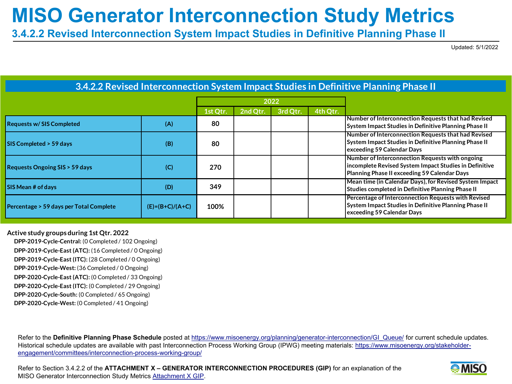**3.4.2.2 Revised Interconnection System Impact Studies in Definitive Planning Phase II**

Updated: 5/1/2022

#### **3.4.2.2 Revised Interconnection System Impact Studies in Definitive Planning Phase II**

|                                          |                   | 2022     |          |          |          |                                                                                                                                                           |
|------------------------------------------|-------------------|----------|----------|----------|----------|-----------------------------------------------------------------------------------------------------------------------------------------------------------|
|                                          |                   | 1st Qtr. | 2nd Qtr. | 3rd Qtr. | 4th Qtr. |                                                                                                                                                           |
| <b>Requests w/SIS Completed</b>          | (A)               | 80       |          |          |          | Number of Interconnection Requests that had Revised<br>System Impact Studies in Definitive Planning Phase II                                              |
| <b>SIS Completed &gt; 59 days</b>        | (B)               | 80       |          |          |          | Number of Interconnection Requests that had Revised<br>System Impact Studies in Definitive Planning Phase II<br>exceeding 59 Calendar Days                |
| <b>Requests Ongoing SIS &gt; 59 days</b> | (C)               | 270      |          |          |          | Number of Interconnection Requests with ongoing<br>incomplete Revised System Impact Studies in Definitive<br>Planning Phase II exceeding 59 Calendar Days |
| <b>SIS Mean # of days</b>                | (D)               | 349      |          |          |          | Mean time (in Calendar Days), for Revised System Impact<br>Studies completed in Definitive Planning Phase II                                              |
| Percentage > 59 days per Total Complete  | $(E)=(B+C)/(A+C)$ | 100%     |          |          |          | Percentage of Interconnection Requests with Revised<br>System Impact Studies in Definitive Planning Phase II<br>exceeding 59 Calendar Days                |

**Active study groups during 1st Qtr. 2022**

 **DPP-2019-Cycle-Central:** (0 Completed / 102 Ongoing)  **DPP-2019-Cycle-East (ATC):** (16 Completed / 0 Ongoing)  **DPP-2019-Cycle-East (ITC):** (28 Completed / 0 Ongoing)  **DPP-2019-Cycle-West:** (36 Completed / 0 Ongoing)  **DPP-2020-Cycle-East (ATC):** (0 Completed / 33 Ongoing)  **DPP-2020-Cycle-East (ITC):** (0 Completed / 29 Ongoing)  **DPP-2020-Cycle-South:** (0 Completed / 65 Ongoing)  **DPP-2020-Cycle-West:** (0 Completed / 41 Ongoing)

Refer to the Definitive Planning Phase Schedule posted at [https://www.misoenergy.org/planning/generator-interconnection/GI\\_Queue/](https://www.misoenergy.org/planning/generator-interconnection/GI_Queue/) for current schedule updates. [Historical schedule updates are available with past Interconnection Process Working Group \(IPWG\) meeting materials: https://www.misoenergy.org/stakeholder](https://www.misoenergy.org/stakeholder-engagement/committees/interconnection-process-working-group/)engagement/committees/interconnection-process-working-group/

Refer to Section 3.4.2.2 of the **ATTACHMENT X – GENERATOR INTERCONNECTION PROCEDURES (GIP)** for an explanation of the MISO Generator Interconnection Study Metrics [Attachment X GIP.](https://cdn.misoenergy.org/Attachment%20X%20GIP330116.pdf)

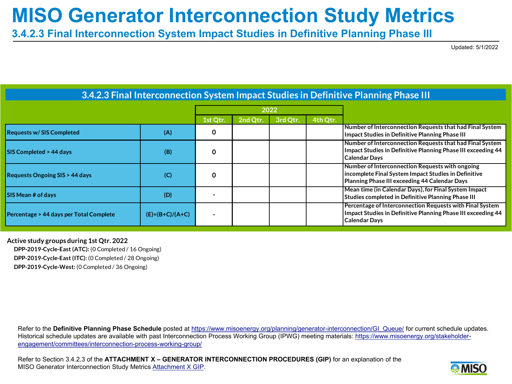**3.4.2.3 Final Interconnection System Impact Studies in Definitive Planning Phase III**

Updated: 5/1/2022

|                                          |                   |          |          | 2022     |          |                                                                                                                                                          |
|------------------------------------------|-------------------|----------|----------|----------|----------|----------------------------------------------------------------------------------------------------------------------------------------------------------|
|                                          |                   | 1st Qtr. | 2nd Qtr. | 3rd Otr. | 4th Qtr. |                                                                                                                                                          |
| <b>Requests w/SIS Completed</b>          | (A)               | 0        |          |          |          | Number of Interconnection Requests that had Final System<br>Impact Studies in Definitive Planning Phase III                                              |
| <b>SIS Completed &gt; 44 days</b>        | (B)               | 0        |          |          |          | Number of Interconnection Requests that had Final System<br>Impact Studies in Definitive Planning Phase III exceeding 44<br><b>Calendar Days</b>         |
| <b>Requests Ongoing SIS &gt; 44 days</b> | (C)               | 0        |          |          |          | Number of Interconnection Requests with ongoing<br>Incomplete Final System Impact Studies in Definitive<br>Planning Phase III exceeding 44 Calendar Days |
| <b>SIS Mean # of days</b>                | (D)               |          |          |          |          | Mean time (in Calendar Days), for Final System Impact<br>Studies completed in Definitive Planning Phase III                                              |
| Percentage > 44 days per Total Complete  | $(E)=(B+C)/(A+C)$ |          |          |          |          | Percentage of Interconnection Requests with Final System<br>Impact Studies in Definitive Planning Phase III exceeding 44<br><b>Calendar Days</b>         |

**3.4.2.3 Final Interconnection System Impact Studies in Definitive Planning Phase III**

**Active study groups during 1st Qtr. 2022 DPP-2019-Cycle-East (ATC):** (0 Completed / 16 Ongoing)

 **DPP-2019-Cycle-East (ITC):** (0 Completed / 28 Ongoing)

 **DPP-2019-Cycle-West:** (0 Completed / 36 Ongoing)

Refer to the Definitive Planning Phase Schedule posted at [https://www.misoenergy.org/planning/generator-interconnection/GI\\_Queue/](https://www.misoenergy.org/planning/generator-interconnection/GI_Queue/) for current schedule updates. [Historical schedule updates are available with past Interconnection Process Working Group \(IPWG\) meeting materials: https://www.misoenergy.org/stakeholder](https://www.misoenergy.org/stakeholder-engagement/committees/interconnection-process-working-group/)engagement/committees/interconnection-process-working-group/

Refer to Section 3.4.2.3 of the **ATTACHMENT X – GENERATOR INTERCONNECTION PROCEDURES (GIP)** for an explanation of the MISO Generator Interconnection Study Metrics [Attachment X GIP.](https://cdn.misoenergy.org/Attachment%20X%20GIP330116.pdf)

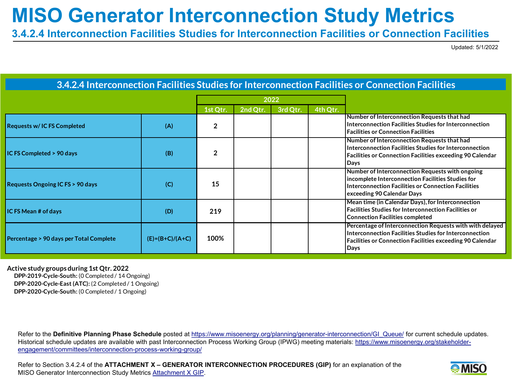**3.4.2.4 Interconnection Facilities Studies for Interconnection Facilities or Connection Facilities**

Updated: 5/1/2022

#### **3.4.2.4 Interconnection Facilities Studies for Interconnection Facilities or Connection Facilities**

|                                         |                   |          |          | 2022     |          |                                                                                                                                                                                                |
|-----------------------------------------|-------------------|----------|----------|----------|----------|------------------------------------------------------------------------------------------------------------------------------------------------------------------------------------------------|
|                                         |                   | 1st Qtr. | 2nd Qtr. | 3rd Qtr. | 4th Qtr. |                                                                                                                                                                                                |
| <b>Requests w/ICFS Completed</b>        | (A)               |          |          |          |          | Number of Interconnection Requests that had<br>Interconnection Facilities Studies for Interconnection<br><b>Facilities or Connection Facilities</b>                                            |
| IC FS Completed > 90 days               | (B)               |          |          |          |          | Number of Interconnection Requests that had<br>Interconnection Facilities Studies for Interconnection<br><b>Facilities or Connection Facilities exceeding 90 Calendar</b><br>Days              |
| Requests Ongoing IC FS > 90 days        | (C)               | 15       |          |          |          | Number of Interconnection Requests with ongoing<br>incomplete Interconnection Facilities Studies for<br>Interconnection Facilities or Connection Facilities<br>exceeding 90 Calendar Days      |
| IC FS Mean # of days                    | (D)               | 219      |          |          |          | Mean time (in Calendar Days), for Interconnection<br><b>Facilities Studies for Interconnection Facilities or</b><br><b>Connection Facilities completed</b>                                     |
| Percentage > 90 days per Total Complete | $(E)=(B+C)/(A+C)$ | 100%     |          |          |          | Percentage of Interconnection Requests with with delayed<br>Interconnection Facilities Studies for Interconnection<br><b>Facilities or Connection Facilities exceeding 90 Calendar</b><br>Days |

**Active study groups during 1st Qtr. 2022 DPP-2019-Cycle-South:** (0 Completed / 14 Ongoing)  **DPP-2020-Cycle-East (ATC):** (2 Completed / 1 Ongoing)  **DPP-2020-Cycle-South:** (0 Completed / 1 Ongoing)

Refer to the Definitive Planning Phase Schedule posted at [https://www.misoenergy.org/planning/generator-interconnection/GI\\_Queue/](https://www.misoenergy.org/planning/generator-interconnection/GI_Queue/) for current schedule updates. [Historical schedule updates are available with past Interconnection Process Working Group \(IPWG\) meeting materials: https://www.misoenergy.org/stakeholder](https://www.misoenergy.org/stakeholder-engagement/committees/interconnection-process-working-group/)engagement/committees/interconnection-process-working-group/

Refer to Section 3.4.2.4 of the **ATTACHMENT X – GENERATOR INTERCONNECTION PROCEDURES (GIP)** for an explanation of the MISO Generator Interconnection Study Metrics [Attachment X GIP.](https://cdn.misoenergy.org/Attachment%20X%20GIP330116.pdf)

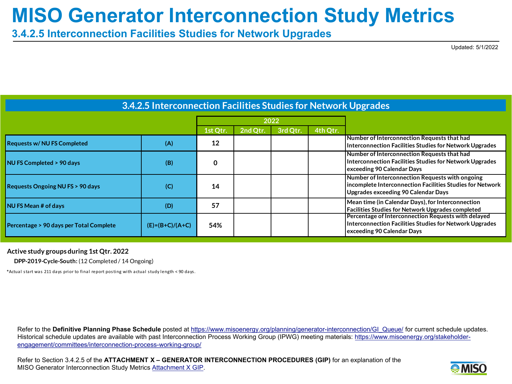**3.4.2.5 Interconnection Facilities Studies for Network Upgrades**

Updated: 5/1/2022

|                                            |                   |          |          | 2022     |          |                                                                                                                                                            |
|--------------------------------------------|-------------------|----------|----------|----------|----------|------------------------------------------------------------------------------------------------------------------------------------------------------------|
|                                            |                   | 1st Qtr. | 2nd Qtr. | 3rd Qtr. | 4th Qtr. |                                                                                                                                                            |
| <b>Requests w/ NU FS Completed</b>         | (A)               | 12       |          |          |          | Number of Interconnection Requests that had<br>Interconnection Facilities Studies for Network Upgrades                                                     |
| NU FS Completed > 90 days                  | (B)               | 0        |          |          |          | Number of Interconnection Requests that had<br>Interconnection Facilities Studies for Network Upgrades<br>exceeding 90 Calendar Days                       |
| <b>Requests Ongoing NU FS &gt; 90 days</b> | (C)               | 14       |          |          |          | Number of Interconnection Requests with ongoing<br>incomplete Interconnection Facilities Studies for Network<br><b>Upgrades exceeding 90 Calendar Days</b> |
| <b>NU FS Mean # of days</b>                | (D)               | 57       |          |          |          | Mean time (in Calendar Days), for Interconnection<br><b>Facilities Studies for Network Upgrades completed</b>                                              |
| Percentage > 90 days per Total Complete    | $(E)=(B+C)/(A+C)$ | 54%      |          |          |          | Percentage of Interconnection Requests with delayed<br>Interconnection Facilities Studies for Network Upgrades<br>exceeding 90 Calendar Days               |

**3.4.2.5 Interconnection Facilities Studies for Network Upgrades**

#### **Active study groups during 1st Qtr. 2022**

 **DPP-2019-Cycle-South:** (12 Completed / 14 Ongoing)

\*Actual start was 211 days prior to final report posting with actual study length < 90 days.

Refer to the Definitive Planning Phase Schedule posted at [https://www.misoenergy.org/planning/generator-interconnection/GI\\_Queue/](https://www.misoenergy.org/planning/generator-interconnection/GI_Queue/) for current schedule updates. [Historical schedule updates are available with past Interconnection Process Working Group \(IPWG\) meeting materials: https://www.misoenergy.org/stakeholder](https://www.misoenergy.org/stakeholder-engagement/committees/interconnection-process-working-group/)engagement/committees/interconnection-process-working-group/

Refer to Section 3.4.2.5 of the **ATTACHMENT X – GENERATOR INTERCONNECTION PROCEDURES (GIP)** for an explanation of the MISO Generator Interconnection Study Metrics [Attachment X GIP](https://cdn.misoenergy.org/Attachment%20X%20GIP330116.pdf).

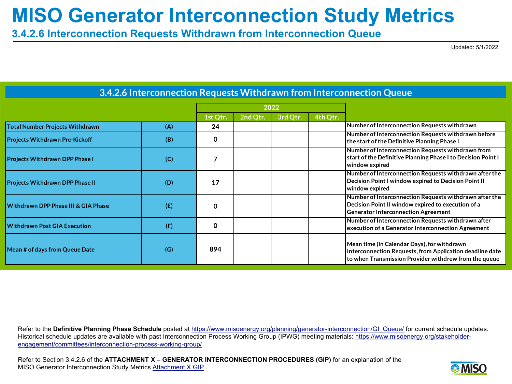**3.4.2.6 Interconnection Requests Withdrawn from Interconnection Queue**

Updated: 5/1/2022

|                                        |     |          |          | 2022     |          |                                                                                                                                                                  |
|----------------------------------------|-----|----------|----------|----------|----------|------------------------------------------------------------------------------------------------------------------------------------------------------------------|
|                                        |     | 1st Qtr. | 2nd Qtr. | 3rd Qtr. | 4th Qtr. |                                                                                                                                                                  |
| <b>Total Number Projects Withdrawn</b> | (A) | 24       |          |          |          | Number of Interconnection Requests withdrawn                                                                                                                     |
| <b>Projects Withdrawn Pre-Kickoff</b>  | (B) | 0        |          |          |          | Number of Interconnection Requests withdrawn before<br>the start of the Definitive Planning Phase I                                                              |
| <b>Projects Withdrawn DPP Phase I</b>  | (C) |          |          |          |          | Number of Interconnection Requests withdrawn from<br>start of the Definitive Planning Phase I to Decision Point I<br>window expired                              |
| <b>Projects Withdrawn DPP Phase II</b> | (D) | 17       |          |          |          | Number of Interconnection Requests withdrawn after the<br>Decision Point I window expired to Decision Point II<br>window expired                                 |
| Withdrawn DPP Phase III & GIA Phase    | (E) | 0        |          |          |          | Number of Interconnection Requests withdrawn after the<br>Decision Point II window expired to execution of a<br><b>Generator Interconnection Agreement</b>       |
| <b>Withdrawn Post GIA Execution</b>    | (F) | 0        |          |          |          | Number of Interconnection Requests withdrawn after<br>execution of a Generator Interconnection Agreement                                                         |
| Mean # of days from Queue Date         | (G) | 894      |          |          |          | Mean time (in Calendar Days), for withdrawn<br>Interconnection Requests, from Application deadline date<br>to when Transmission Provider withdrew from the queue |

#### **3.4.2.6 Interconnection Requests Withdrawn from Interconnection Queue**

Refer to the Definitive Planning Phase Schedule posted at [https://www.misoenergy.org/planning/generator-interconnection/GI\\_Queue/](https://www.misoenergy.org/planning/generator-interconnection/GI_Queue/) for current schedule updates. [Historical schedule updates are available with past Interconnection Process Working Group \(IPWG\) meeting materials: https://www.misoenergy.org/stakeholder](https://www.misoenergy.org/stakeholder-engagement/committees/interconnection-process-working-group/)engagement/committees/interconnection-process-working-group/

Refer to Section 3.4.2.6 of the **ATTACHMENT X – GENERATOR INTERCONNECTION PROCEDURES (GIP)** for an explanation of the MISO Generator Interconnection Study Metrics [Attachment X GIP.](https://cdn.misoenergy.org/Attachment%20X%20GIP330116.pdf)

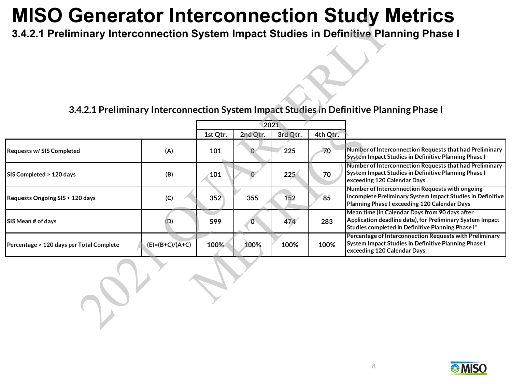**3.4.2.1 Preliminary Interconnection System Impact Studies in Definitive Planning Phase I**

#### **3.4.2.1 Preliminary Interconnection System Impact Studies in Definitive Planning Phase I**

|                                          |                   |          |              | 2021     |          |                                                                                                                                                                  |
|------------------------------------------|-------------------|----------|--------------|----------|----------|------------------------------------------------------------------------------------------------------------------------------------------------------------------|
|                                          |                   | 1st Qtr. | 2nd Qtr.     | 3rd Qtr. | 4th Qtr. |                                                                                                                                                                  |
| <b>Requests w/SIS Completed</b>          | (A)               | 101      |              | 225      | 70       | Number of Interconnection Requests that had Preliminary<br>System Impact Studies in Definitive Planning Phase I                                                  |
| SIS Completed > 120 days                 | (B)               | 101      |              | 225      | 70       | Number of Interconnection Requests that had Preliminary<br>System Impact Studies in Definitive Planning Phase I<br>exceeding 120 Calendar Days                   |
| Requests Ongoing SIS > 120 days          | (C)               | 352      | 355          | 152      | 85       | Number of Interconnection Requests with ongoing<br>incomplete Preliminary System Impact Studies in Definitive<br>Planning Phase I exceeding 120 Calendar Days    |
| SIS Mean # of days                       | (D)               | 599      | $\mathbf{0}$ | 474      | 283      | Mean time (in Calendar Days from 90 days after<br>Application deadline date), for Preliminary System Impact<br>Studies completed in Definitive Planning Phase I* |
| Percentage > 120 days per Total Complete | $(E)=(B+C)/(A+C)$ | 100%     | 100%         | 100%     | 100%     | Percentage of Interconnection Requests with Preliminary<br><b>System Impact Studies in Definitive Planning Phase I</b><br>exceeding 120 Calendar Days            |

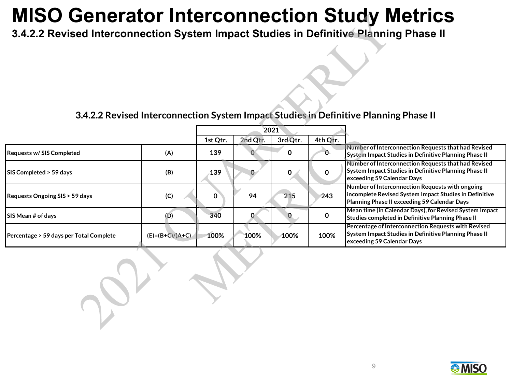**3.4.2.2 Revised Interconnection System Impact Studies in Definitive Planning Phase II**

#### **3.4.2.2 Revised Interconnection System Impact Studies in Definitive Planning Phase II**

|                                         |                   |          |          | 2021     |          |                                                                                                                                                           |
|-----------------------------------------|-------------------|----------|----------|----------|----------|-----------------------------------------------------------------------------------------------------------------------------------------------------------|
|                                         |                   | 1st Qtr. | 2nd Qtr. | 3rd Qtr. | 4th Qtr. |                                                                                                                                                           |
| <b>Requests w/SIS Completed</b>         | (A)               | 139      |          | 0        | 0.       | Number of Interconnection Requests that had Revised<br>System Impact Studies in Definitive Planning Phase II                                              |
| SIS Completed > 59 days                 | (B)               | 139      |          | 0        | 0        | Number of Interconnection Requests that had Revised<br>System Impact Studies in Definitive Planning Phase II<br>exceeding 59 Calendar Days                |
| Requests Ongoing SIS > 59 days          | (C)               |          | 94       | 215      | 243      | Number of Interconnection Requests with ongoing<br>Incomplete Revised System Impact Studies in Definitive<br>Planning Phase II exceeding 59 Calendar Days |
| <b>SIS Mean # of days</b>               | (D)               | 340      |          |          | 0        | Mean time (in Calendar Days), for Revised System Impact<br>Studies completed in Definitive Planning Phase II                                              |
| Percentage > 59 days per Total Complete | $(E)=(B+C)/(A+C)$ | 100%     | 100%     | 100%     | 100%     | Percentage of Interconnection Requests with Revised<br>System Impact Studies in Definitive Planning Phase II<br>exceeding 59 Calendar Days                |

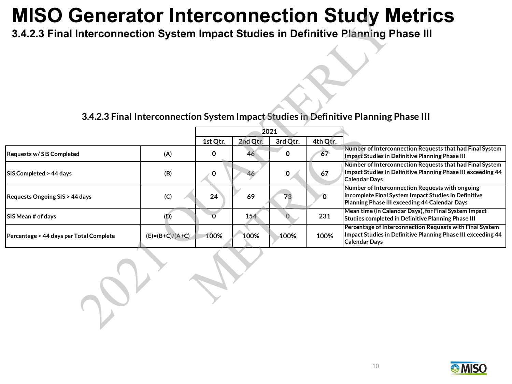**3.4.2.3 Final Interconnection System Impact Studies in Definitive Planning Phase III**

#### **3.4.2.3 Final Interconnection System Impact Studies in Definitive Planning Phase III**

|                                         |                   |          |          | 2021     |          |                                                                                                                                                          |
|-----------------------------------------|-------------------|----------|----------|----------|----------|----------------------------------------------------------------------------------------------------------------------------------------------------------|
|                                         |                   | 1st Qtr. | 2nd Qtr. | 3rd Qtr. | 4th Qtr. |                                                                                                                                                          |
| <b>Requests w/SIS Completed</b>         | (A)               | 0        | 46       | O        | 67       | Number of Interconnection Requests that had Final System<br>Impact Studies in Definitive Planning Phase III                                              |
| <b>SIS Completed &gt; 44 days</b>       | (B)               |          | 46       |          | 67       | Number of Interconnection Requests that had Final System<br>Impact Studies in Definitive Planning Phase III exceeding 44<br><b>Calendar Davs</b>         |
| Requests Ongoing SIS > 44 days          | (C)               | 24       | 69       | 73       | O        | Number of Interconnection Requests with ongoing<br>incomplete Final System Impact Studies in Definitive<br>Planning Phase III exceeding 44 Calendar Days |
| <b>SIS Mean # of days</b>               | (D)               |          | 154      |          | 231      | Mean time (in Calendar Days), for Final System Impact<br>Studies completed in Definitive Planning Phase III                                              |
| Percentage > 44 days per Total Complete | $(E)=(B+C)/(A+C)$ | 100%     | 100%     | 100%     | 100%     | Percentage of Interconnection Requests with Final System<br>Impact Studies in Definitive Planning Phase III exceeding 44<br><b>Calendar Days</b>         |

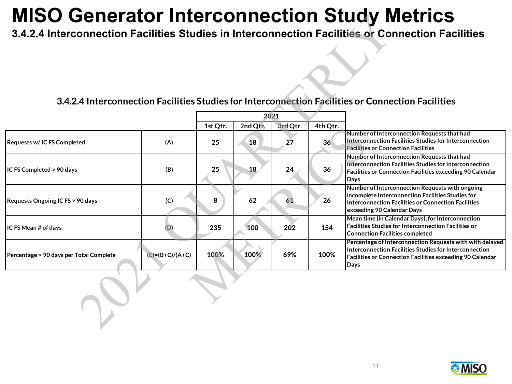**3.4.2.4 Interconnection Facilities Studies in Interconnection Facilities or Connection Facilities**

#### **3.4.2.4 Interconnection Facilities Studies for Interconnection Facilities or Connection Facilities**

|                                         |                   |          |          | 2021     |          |                                                                                                                                                                                                |
|-----------------------------------------|-------------------|----------|----------|----------|----------|------------------------------------------------------------------------------------------------------------------------------------------------------------------------------------------------|
|                                         |                   | 1st Qtr. | 2nd Qtr. | 3rd Qtr. | 4th Qtr. |                                                                                                                                                                                                |
| <b>Requests w/ IC FS Completed</b>      | (A)               | 25       | 18       | 27       | 36       | Number of Interconnection Requests that had<br>Interconnection Facilities Studies for Interconnection<br><b>Facilities or Connection Facilities</b>                                            |
| IC FS Completed > 90 days               | (B)               | 25       | 18       | 24       | 36       | Number of Interconnection Requests that had<br>Interconnection Facilities Studies for Interconnection<br><b>Facilities or Connection Facilities exceeding 90 Calendar</b><br>Days              |
| Requests Ongoing IC FS > 90 days        | (C)               | 8        | 62       | 61       | 26       | Number of Interconnection Requests with ongoing<br>incomplete Interconnection Facilities Studies for<br>Interconnection Facilities or Connection Facilities<br>exceeding 90 Calendar Days      |
| IC FS Mean # of days                    | (D)               | 235      | 100      | 202      | 154      | Mean time (in Calendar Days), for Interconnection<br><b>Facilities Studies for Interconnection Facilities or</b><br><b>Connection Facilities completed</b>                                     |
| Percentage > 90 days per Total Complete | $(E)=(B+C)/(A+C)$ | 100%     | 100%     | 69%      | 100%     | Percentage of Interconnection Requests with with delayed<br>Interconnection Facilities Studies for Interconnection<br><b>Facilities or Connection Facilities exceeding 90 Calendar</b><br>Days |

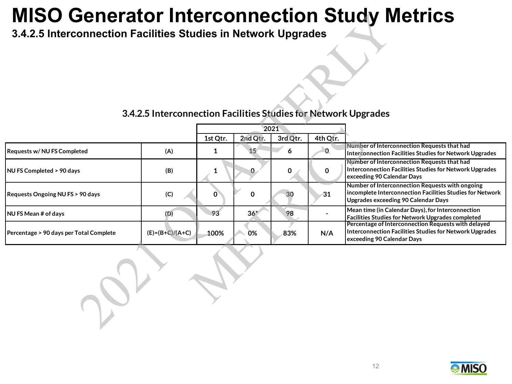**3.4.2.5 Interconnection Facilities Studies in Network Upgrades**

#### **3.4.2.5 Interconnection Facilities Studies for Network Upgrades**

|                                         |                   |          |          | 2021     |          |                                                                                                                                                     |
|-----------------------------------------|-------------------|----------|----------|----------|----------|-----------------------------------------------------------------------------------------------------------------------------------------------------|
|                                         |                   | 1st Qtr. | 2nd Qtr. | 3rd Qtr. | 4th Qtr. |                                                                                                                                                     |
| Requests w/ NU FS Completed             | (A)               |          | 15       | 6        | 0        | Number of Interconnection Requests that had<br>Interconnection Facilities Studies for Network Upgrades                                              |
| <b>NU FS Completed &gt; 90 days</b>     | (B)               |          | 0.       | 0        |          | Number of Interconnection Requests that had<br>Interconnection Facilities Studies for Network Upgrades<br>exceeding 90 Calendar Days                |
| Requests Ongoing NU FS > 90 days        | (C)               |          | 0        | 30       | 31       | Number of Interconnection Requests with ongoing<br>Incomplete Interconnection Facilities Studies for Network<br>Upgrades exceeding 90 Calendar Days |
| <b>NU FS Mean # of days</b>             | (D)               | 93       | $36*$    | 98       |          | Mean time (in Calendar Days), for Interconnection<br><b>Facilities Studies for Network Upgrades completed</b>                                       |
| Percentage > 90 days per Total Complete | $(E)=(B+C)/(A+C)$ | 100%     | 0%       | 83%      | N/A      | Percentage of Interconnection Requests with delayed<br>Interconnection Facilities Studies for Network Upgrades<br>exceeding 90 Calendar Days        |

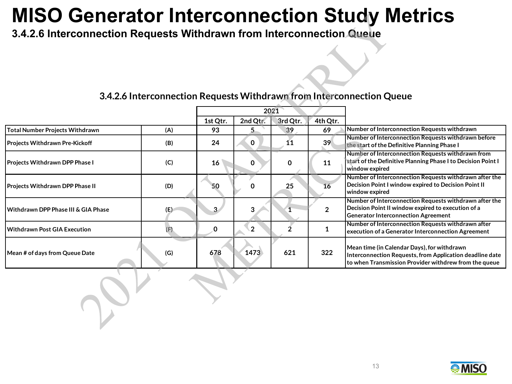**3.4.2.6 Interconnection Requests Withdrawn from Interconnection Queue**

|                                        |     |          | 2021           |             |              |                                                                                                                                                                  |
|----------------------------------------|-----|----------|----------------|-------------|--------------|------------------------------------------------------------------------------------------------------------------------------------------------------------------|
|                                        |     | 1st Qtr. | 2nd Qtr.       | 3rd Qtr.    | 4th Qtr.     |                                                                                                                                                                  |
| <b>Total Number Projects Withdrawn</b> | (A) | 93       |                | 39          | 69           | Number of Interconnection Requests withdrawn                                                                                                                     |
| Projects Withdrawn Pre-Kickoff         | (B) | 24       | 0              | 11          | 39           | Number of Interconnection Requests withdrawn before<br>the start of the Definitive Planning Phase I                                                              |
| Projects Withdrawn DPP Phase I         | (C) | 16       | 0              | $\mathbf 0$ | 11           | Number of Interconnection Requests withdrawn from<br>start of the Definitive Planning Phase I to Decision Point I<br>window expired                              |
| Projects Withdrawn DPP Phase II        | (D) | 50       | 0              | 25          | 16           | Number of Interconnection Requests withdrawn after the<br>Decision Point I window expired to Decision Point II<br>window expired                                 |
| Withdrawn DPP Phase III & GIA Phase    | (E) |          | 3              |             | $\mathbf{2}$ | Number of Interconnection Requests withdrawn after the<br>Decision Point II window expired to execution of a<br><b>Generator Interconnection Agreement</b>       |
| <b>Withdrawn Post GIA Execution</b>    | (F) |          | $\overline{2}$ |             |              | Number of Interconnection Requests withdrawn after<br>execution of a Generator Interconnection Agreement                                                         |
| Mean # of days from Queue Date         | (G) | 678      | 1473           | 621         | 322          | Mean time (in Calendar Days), for withdrawn<br>Interconnection Requests, from Application deadline date<br>to when Transmission Provider withdrew from the queue |

#### **3.4.2.6 Interconnection Requests Withdrawn from Interconnection Queue**

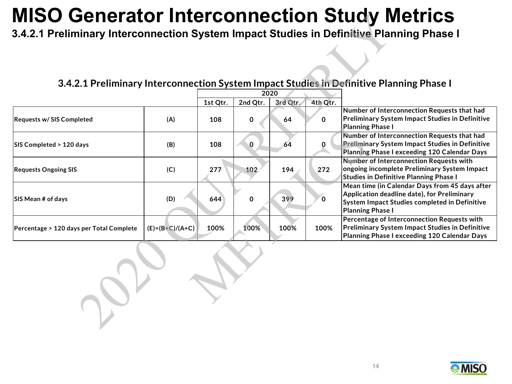**3.4.2.1 Preliminary Interconnection System Impact Studies in Definitive Planning Phase I**

### **3.4.2.1 Preliminary Interconnection System Impact Studies in Definitive Planning Phase I**

|                                          |                   |          |             | 2020     |          |                                                                                                                                                                           |
|------------------------------------------|-------------------|----------|-------------|----------|----------|---------------------------------------------------------------------------------------------------------------------------------------------------------------------------|
|                                          |                   | 1st Qtr. | 2nd Qtr.    | 3rd Qtr. | 4th Qtr. |                                                                                                                                                                           |
| <b>Requests w/SIS Completed</b>          | (A)               | 108      | 0           | 64       | 0        | Number of Interconnection Requests that had<br>Preliminary System Impact Studies in Definitive<br>Planning Phase I                                                        |
| SIS Completed > 120 days                 | (B)               | 108      | $\mathbf 0$ | 64       | $\Omega$ | Number of Interconnection Requests that had<br><b>Preliminary System Impact Studies in Definitive</b><br>Planning Phase I exceeding 120 Calendar Days                     |
| <b>Requests Ongoing SIS</b>              | (C)               | 277      | 102         | 194      | 272      | Number of Interconnection Requests with<br>ongoing incomplete Preliminary System Impact<br><b>Studies in Definitive Planning Phase I</b>                                  |
| <b>SIS Mean # of days</b>                | (D)               | 644      | $\mathbf 0$ | 399      | $\Omega$ | Mean time (in Calendar Days from 45 days after<br>Application deadline date), for Preliminary<br>System Impact Studies completed in Definitive<br><b>Planning Phase I</b> |
| Percentage > 120 days per Total Complete | $(E)=(B+C)/(A+C)$ | 100%     | 100%        | 100%     | 100%     | Percentage of Interconnection Requests with<br><b>Preliminary System Impact Studies in Definitive</b><br>Planning Phase I exceeding 120 Calendar Days                     |

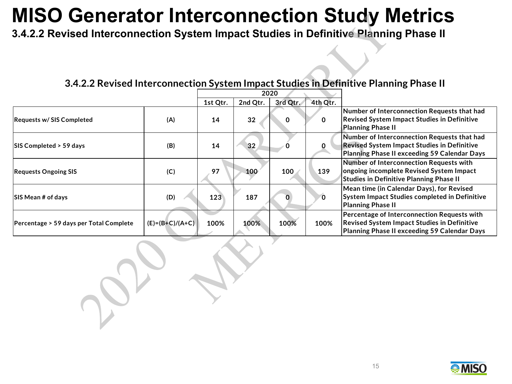**3.4.2.2 Revised Interconnection System Impact Studies in Definitive Planning Phase II**

**SIS Mean # of days (D) 123 187 0 0**

**Percentage > 59 days per Total Complete (E)=(B+C)/(A+C) 100% 100% 100% 100%**

|                                  |     |          | 2020     |          |          |                                                                                                                                            |
|----------------------------------|-----|----------|----------|----------|----------|--------------------------------------------------------------------------------------------------------------------------------------------|
|                                  |     | 1st Qtr. | 2nd Qtr. | 3rd Qtr. | 4th Qtr. |                                                                                                                                            |
| <b>Requests w/ SIS Completed</b> | (A) | 14       | 32       |          |          | Number of Interconnection Requests that had<br><b>Revised System Impact Studies in Definitive</b><br>Planning Phase II                     |
| SIS Completed > 59 days          | (B) | 14       | 32       |          |          | Number of Interconnection Requests that had<br>Revised System Impact Studies in Definitive<br>Planning Phase II exceeding 59 Calendar Days |
| <b>Requests Ongoing SIS</b>      | (C) | 97       | 100      | 100      | 139      | Number of Interconnection Requests with<br>ongoing incomplete Revised System Impact<br>Studies in Definitive Planning Phase II             |

#### **3.4.2.2 Revised Interconnection System Impact Studies in Definitive Planning Phase II**



**Planning Phase II**

**Mean time (in Calendar Days), for Revised System Impact Studies completed in Definitive** 

**Percentage of Interconnection Requests with Revised System Impact Studies in Definitive Planning Phase II exceeding 59 Calendar Days**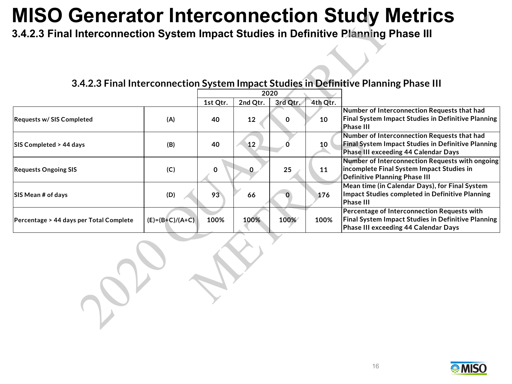**3.4.2.3 Final Interconnection System Impact Studies in Definitive Planning Phase III**

#### **3.4.2.3 Final Interconnection System Impact Studies in Definitive Planning Phase III**

|                                         |                   |          |          | 2020     |          |                                                                                                                                                  |
|-----------------------------------------|-------------------|----------|----------|----------|----------|--------------------------------------------------------------------------------------------------------------------------------------------------|
|                                         |                   | 1st Qtr. | 2nd Qtr. | 3rd Qtr. | 4th Qtr. |                                                                                                                                                  |
| <b>Requests w/SIS Completed</b>         | (A)               | 40       | 12       | 0        | 10       | Number of Interconnection Requests that had<br><b>Final System Impact Studies in Definitive Planning</b><br><b>Phase III</b>                     |
| <b>SIS Completed &gt; 44 days</b>       | (B)               | 40       | 12       |          | 10       | Number of Interconnection Requests that had<br><b>Final System Impact Studies in Definitive Planning</b><br>Phase III exceeding 44 Calendar Days |
| <b>Requests Ongoing SIS</b>             | (C)               | 0        | 0        | 25       | 11       | Number of Interconnection Requests with ongoing<br>incomplete Final System Impact Studies in<br>Definitive Planning Phase III                    |
| <b>SIS Mean # of days</b>               | (D)               | 93       | 66       |          | 176      | Mean time (in Calendar Days), for Final System<br>Impact Studies completed in Definitive Planning<br><b>Phase III</b>                            |
| Percentage > 44 days per Total Complete | $(E)=(B+C)/(A+C)$ | 100%     | 100%     | 100%     | 100%     | Percentage of Interconnection Requests with<br><b>Final System Impact Studies in Definitive Planning</b><br>Phase III exceeding 44 Calendar Days |

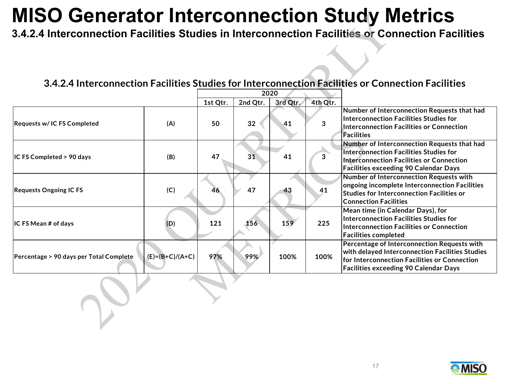**3.4.2.4 Interconnection Facilities Studies in Interconnection Facilities or Connection Facilities**

#### **3.4.2.4 Interconnection Facilities Studies for Interconnection Facilities or Connection Facilities**

|                                         |                     | 2020     |          |          |          |                                                                                                                                                                                                |
|-----------------------------------------|---------------------|----------|----------|----------|----------|------------------------------------------------------------------------------------------------------------------------------------------------------------------------------------------------|
|                                         |                     | 1st Qtr. | 2nd Qtr. | 3rd Qtr. | 4th Qtr. |                                                                                                                                                                                                |
| Requests w/IC FS Completed              | (A)                 | 50       | 32       | 41       | 3        | Number of Interconnection Requests that had<br>Interconnection Facilities Studies for<br>Interconnection Facilities or Connection<br><b>Facilities</b>                                         |
| IC FS Completed > 90 days               | (B)                 | 47       | 31       | 41       | 3        | Number of Interconnection Requests that had<br>Interconnection Facilities Studies for<br><b>Interconnection Facilities or Connection</b><br><b>Facilities exceeding 90 Calendar Days</b>       |
| <b>Requests Ongoing IC FS</b>           | (C)                 | 46       | 47       | 43       | 41       | Number of Interconnection Requests with<br>ongoing incomplete Interconnection Facilities<br><b>Studies for Interconnection Facilities or</b><br><b>Connection Facilities</b>                   |
| IC FS Mean # of days                    | (D)                 | 121      | 156      | 159      | 225      | Mean time (in Calendar Days), for<br>Interconnection Facilities Studies for<br>Interconnection Facilities or Connection<br><b>Facilities completed</b>                                         |
| Percentage > 90 days per Total Complete | $(E) = (B+C)/(A+C)$ | 97%      | 99%      | 100%     | 100%     | Percentage of Interconnection Requests with<br>with delayed Interconnection Facilities Studies<br>for Interconnection Facilities or Connection<br><b>Facilities exceeding 90 Calendar Days</b> |

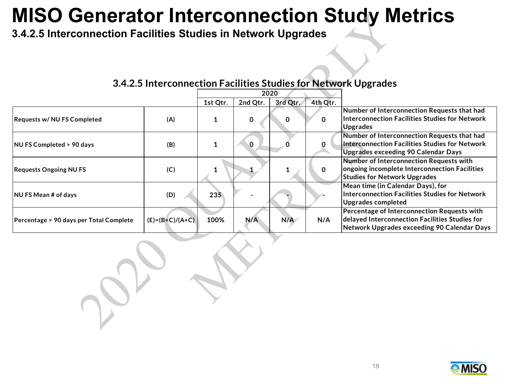**3.4.2.5 Interconnection Facilities Studies in Network Upgrades**

|                                         |                   | 2020          |          |          |          |                                                                                                                                              |
|-----------------------------------------|-------------------|---------------|----------|----------|----------|----------------------------------------------------------------------------------------------------------------------------------------------|
|                                         |                   | 1st Qtr.      | 2nd Qtr. | 3rd Qtr. | 4th Qtr. |                                                                                                                                              |
| <b>Requests w/ NU FS Completed</b>      | (A)               |               | 0        | 0        | 0        | Number of Interconnection Requests that had<br>Interconnection Facilities Studies for Network<br>Upgrades                                    |
| NU FS Completed > 90 days               | (B)               |               | $\Omega$ |          |          | Number of Interconnection Requests that had<br>Interconnection Facilities Studies for Network<br><b>Upgrades exceeding 90 Calendar Days</b>  |
| <b>Requests Ongoing NU FS</b>           | (C)               |               |          |          | 0        | Number of Interconnection Requests with<br>ongoing incomplete Interconnection Facilities<br><b>Studies for Network Upgrades</b>              |
| <b>NU FS Mean # of days</b>             | (D)               | $235^{\circ}$ |          |          |          | Mean time (in Calendar Days), for<br>Interconnection Facilities Studies for Network<br>Upgrades completed                                    |
| Percentage > 90 days per Total Complete | $(E)=(B+C)/(A+C)$ | 100%          | N/A      | N/A      | N/A      | Percentage of Interconnection Requests with<br>delayed Interconnection Facilities Studies for<br>Network Upgrades exceeding 90 Calendar Days |

#### **3.4.2.5 Interconnection Facilities Studies for Network Upgrades**